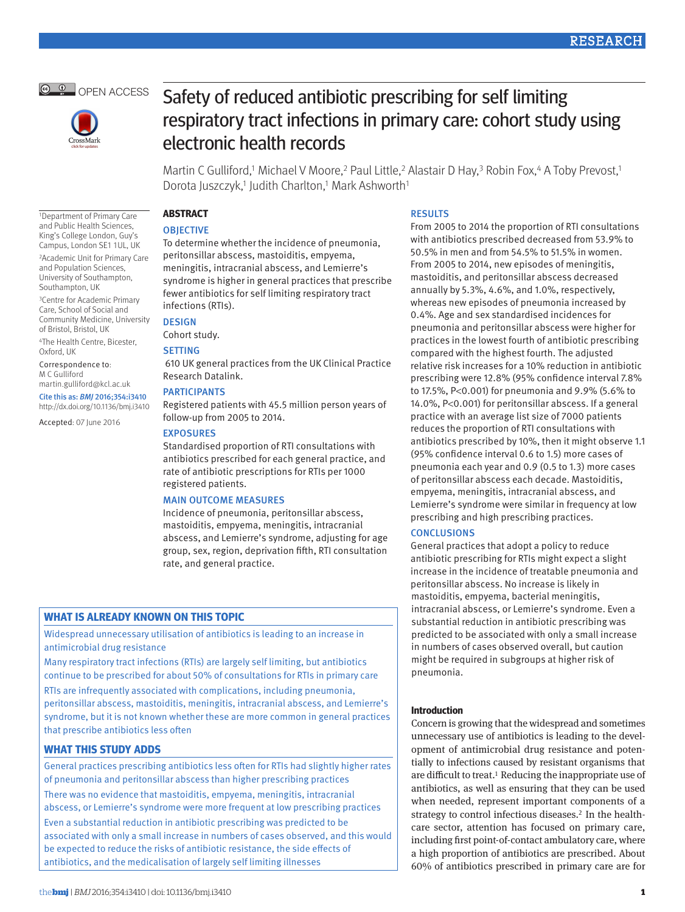



1Department of Primary Care and Public Health Sciences, King's College London, Guy's Campus, London SE1 1UL, UK 2Academic Unit for Primary Care and Population Sciences, University of Southampton, Southampton, UK

3Centre for Academic Primary Care, School of Social and Community Medicine, University of Bristol, Bristol, UK 4The Health Centre, Bicester,

martin.gulliford@kcl.ac.uk Cite this as: *BMJ* 2016;354:i3410 http://dx.doi.org/10.1136/bmj.i3410 Accepted: 07 June 2016

Oxford, UK Correspondence to: M C Gulliford

# Safety of reduced antibiotic prescribing for self limiting respiratory tract infections in primary care: cohort study using electronic health records

Martin C Gulliford,<sup>1</sup> Michael V Moore,<sup>2</sup> Paul Little,<sup>2</sup> Alastair D Hay,<sup>3</sup> Robin Fox,<sup>4</sup> A Toby Prevost,<sup>1</sup> Dorota Juszczyk,<sup>1</sup> Judith Charlton,<sup>1</sup> Mark Ashworth<sup>1</sup>

## **ABSTRACT**

## **OBJECTIVE**

To determine whether the incidence of pneumonia, peritonsillar abscess, mastoiditis, empyema, meningitis, intracranial abscess, and Lemierre's syndrome is higher in general practices that prescribe fewer antibiotics for self limiting respiratory tract infections (RTIs).

## **DESIGN**

Cohort study.

## **SETTING**

 610 UK general practices from the UK Clinical Practice Research Datalink.

### **PARTICIPANTS**

Registered patients with 45.5 million person years of follow-up from 2005 to 2014.

## **EXPOSURES**

Standardised proportion of RTI consultations with antibiotics prescribed for each general practice, and rate of antibiotic prescriptions for RTIs per 1000 registered patients.

## Main outcome measures

Incidence of pneumonia, peritonsillar abscess, mastoiditis, empyema, meningitis, intracranial abscess, and Lemierre's syndrome, adjusting for age group, sex, region, deprivation fifth, RTI consultation rate, and general practice.

## **What is already known on this topic**

Widespread unnecessary utilisation of antibiotics is leading to an increase in antimicrobial drug resistance

Many respiratory tract infections (RTIs) are largely self limiting, but antibiotics continue to be prescribed for about 50% of consultations for RTIs in primary care

RTIs are infrequently associated with complications, including pneumonia, peritonsillar abscess, mastoiditis, meningitis, intracranial abscess, and Lemierre's syndrome, but it is not known whether these are more common in general practices that prescribe antibiotics less often

## **What this study adds**

General practices prescribing antibiotics less often for RTIs had slightly higher rates of pneumonia and peritonsillar abscess than higher prescribing practices There was no evidence that mastoiditis, empyema, meningitis, intracranial abscess, or Lemierre's syndrome were more frequent at low prescribing practices Even a substantial reduction in antibiotic prescribing was predicted to be associated with only a small increase in numbers of cases observed, and this would be expected to reduce the risks of antibiotic resistance, the side effects of antibiotics, and the medicalisation of largely self limiting illnesses

## Results

From 2005 to 2014 the proportion of RTI consultations with antibiotics prescribed decreased from 53.9% to 50.5% in men and from 54.5% to 51.5% in women. From 2005 to 2014, new episodes of meningitis, mastoiditis, and peritonsillar abscess decreased annually by 5.3%, 4.6%, and 1.0%, respectively, whereas new episodes of pneumonia increased by 0.4%. Age and sex standardised incidences for pneumonia and peritonsillar abscess were higher for practices in the lowest fourth of antibiotic prescribing compared with the highest fourth. The adjusted relative risk increases for a 10% reduction in antibiotic prescribing were 12.8% (95% confidence interval 7.8% to 17.5%, P<0.001) for pneumonia and 9.9% (5.6% to 14.0%, P<0.001) for peritonsillar abscess. If a general practice with an average list size of 7000 patients reduces the proportion of RTI consultations with antibiotics prescribed by 10%, then it might observe 1.1 (95% confidence interval 0.6 to 1.5) more cases of pneumonia each year and 0.9 (0.5 to 1.3) more cases of peritonsillar abscess each decade. Mastoiditis, empyema, meningitis, intracranial abscess, and Lemierre's syndrome were similar in frequency at low prescribing and high prescribing practices.

## **CONCLUSIONS**

General practices that adopt a policy to reduce antibiotic prescribing for RTIs might expect a slight increase in the incidence of treatable pneumonia and peritonsillar abscess. No increase is likely in mastoiditis, empyema, bacterial meningitis, intracranial abscess, or Lemierre's syndrome. Even a substantial reduction in antibiotic prescribing was predicted to be associated with only a small increase in numbers of cases observed overall, but caution might be required in subgroups at higher risk of pneumonia.

## **Introduction**

Concern is growing that the widespread and sometimes unnecessary use of antibiotics is leading to the development of antimicrobial drug resistance and potentially to infections caused by resistant organisms that are difficult to treat.<sup>1</sup> Reducing the inappropriate use of antibiotics, as well as ensuring that they can be used when needed, represent important components of a strategy to control infectious diseases.<sup>2</sup> In the healthcare sector, attention has focused on primary care, including first point-of-contact ambulatory care, where a high proportion of antibiotics are prescribed. About 60% of antibiotics prescribed in primary care are for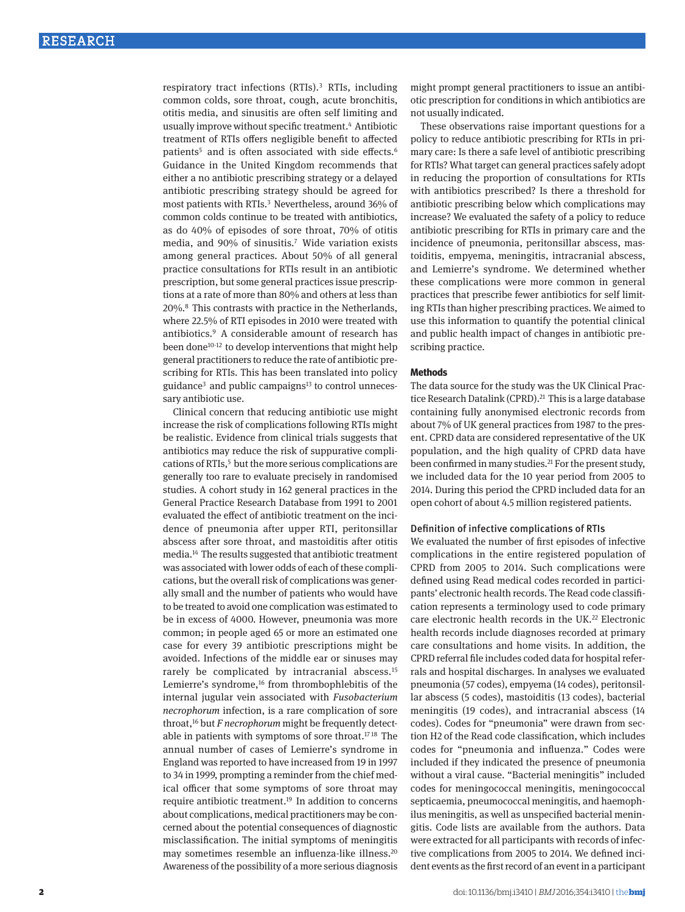respiratory tract infections  $(RTIs)$ .<sup>3</sup> RTIs, including common colds, sore throat, cough, acute bronchitis, otitis media, and sinusitis are often self limiting and usually improve without specific treatment.4 Antibiotic treatment of RTIs offers negligible benefit to affected patients<sup>5</sup> and is often associated with side effects.<sup>6</sup> Guidance in the United Kingdom recommends that either a no antibiotic prescribing strategy or a delayed antibiotic prescribing strategy should be agreed for most patients with RTIs.<sup>3</sup> Nevertheless, around 36% of common colds continue to be treated with antibiotics, as do 40% of episodes of sore throat, 70% of otitis media, and 90% of sinusitis.7 Wide variation exists among general practices. About 50% of all general practice consultations for RTIs result in an antibiotic prescription, but some general practices issue prescriptions at a rate of more than 80% and others at less than 20%.8 This contrasts with practice in the Netherlands, where 22.5% of RTI episodes in 2010 were treated with antibiotics.9 A considerable amount of research has been done<sup>10-12</sup> to develop interventions that might help general practitioners to reduce the rate of antibiotic prescribing for RTIs. This has been translated into policy guidance<sup>3</sup> and public campaigns<sup>13</sup> to control unnecessary antibiotic use.

Clinical concern that reducing antibiotic use might increase the risk of complications following RTIs might be realistic. Evidence from clinical trials suggests that antibiotics may reduce the risk of suppurative complications of RTIs,<sup>5</sup> but the more serious complications are generally too rare to evaluate precisely in randomised studies. A cohort study in 162 general practices in the General Practice Research Database from 1991 to 2001 evaluated the effect of antibiotic treatment on the incidence of pneumonia after upper RTI, peritonsillar abscess after sore throat, and mastoiditis after otitis media.14 The results suggested that antibiotic treatment was associated with lower odds of each of these complications, but the overall risk of complications was generally small and the number of patients who would have to be treated to avoid one complication was estimated to be in excess of 4000. However, pneumonia was more common; in people aged 65 or more an estimated one case for every 39 antibiotic prescriptions might be avoided. Infections of the middle ear or sinuses may rarely be complicated by intracranial abscess.<sup>15</sup> Lemierre's syndrome,<sup>16</sup> from thrombophlebitis of the internal jugular vein associated with *Fusobacterium necrophorum* infection, is a rare complication of sore throat,16 but *F necrophorum* might be frequently detectable in patients with symptoms of sore throat.17 18 The annual number of cases of Lemierre's syndrome in England was reported to have increased from 19 in 1997 to 34 in 1999, prompting a reminder from the chief medical officer that some symptoms of sore throat may require antibiotic treatment.19 In addition to concerns about complications, medical practitioners may be concerned about the potential consequences of diagnostic misclassification. The initial symptoms of meningitis may sometimes resemble an influenza-like illness.20 Awareness of the possibility of a more serious diagnosis

might prompt general practitioners to issue an antibiotic prescription for conditions in which antibiotics are not usually indicated.

These observations raise important questions for a policy to reduce antibiotic prescribing for RTIs in primary care: Is there a safe level of antibiotic prescribing for RTIs? What target can general practices safely adopt in reducing the proportion of consultations for RTIs with antibiotics prescribed? Is there a threshold for antibiotic prescribing below which complications may increase? We evaluated the safety of a policy to reduce antibiotic prescribing for RTIs in primary care and the incidence of pneumonia, peritonsillar abscess, mastoiditis, empyema, meningitis, intracranial abscess, and Lemierre's syndrome. We determined whether these complications were more common in general practices that prescribe fewer antibiotics for self limiting RTIs than higher prescribing practices. We aimed to use this information to quantify the potential clinical and public health impact of changes in antibiotic prescribing practice.

#### **Methods**

The data source for the study was the UK Clinical Practice Research Datalink (CPRD).<sup>21</sup> This is a large database containing fully anonymised electronic records from about 7% of UK general practices from 1987 to the present. CPRD data are considered representative of the UK population, and the high quality of CPRD data have been confirmed in many studies.<sup>21</sup> For the present study, we included data for the 10 year period from 2005 to 2014. During this period the CPRD included data for an open cohort of about 4.5 million registered patients.

### Definition of infective complications of RTIs

We evaluated the number of first episodes of infective complications in the entire registered population of CPRD from 2005 to 2014. Such complications were defined using Read medical codes recorded in participants' electronic health records. The Read code classification represents a terminology used to code primary care electronic health records in the UK.<sup>22</sup> Electronic health records include diagnoses recorded at primary care consultations and home visits. In addition, the CPRD referral file includes coded data for hospital referrals and hospital discharges. In analyses we evaluated pneumonia (57 codes), empyema (14 codes), peritonsillar abscess (5 codes), mastoiditis (13 codes), bacterial meningitis (19 codes), and intracranial abscess (14 codes). Codes for "pneumonia" were drawn from section H2 of the Read code classification, which includes codes for "pneumonia and influenza." Codes were included if they indicated the presence of pneumonia without a viral cause. "Bacterial meningitis" included codes for meningococcal meningitis, meningococcal septicaemia, pneumococcal meningitis, and haemophilus meningitis, as well as unspecified bacterial meningitis. Code lists are available from the authors. Data were extracted for all participants with records of infective complications from 2005 to 2014. We defined incident events as the first record of an event in a participant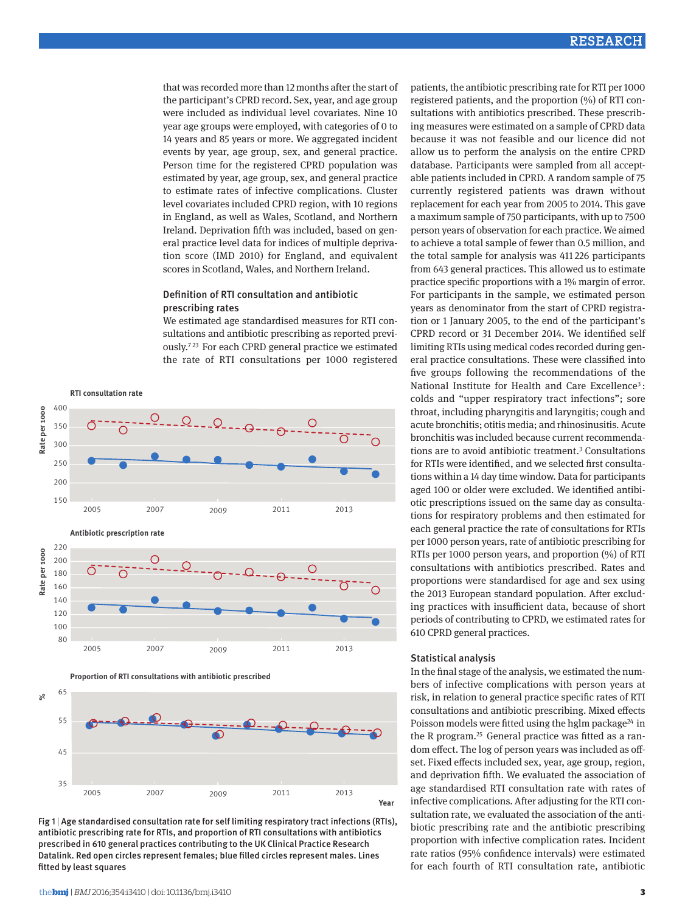that was recorded more than 12 months after the start of the participant's CPRD record. Sex, year, and age group were included as individual level covariates. Nine 10 year age groups were employed, with categories of 0 to 14 years and 85 years or more. We aggregated incident events by year, age group, sex, and general practice. Person time for the registered CPRD population was estimated by year, age group, sex, and general practice to estimate rates of infective complications. Cluster level covariates included CPRD region, with 10 regions in England, as well as Wales, Scotland, and Northern Ireland. Deprivation fifth was included, based on general practice level data for indices of multiple deprivation score (IMD 2010) for England, and equivalent scores in Scotland, Wales, and Northern Ireland.

## Definition of RTI consultation and antibiotic prescribing rates

We estimated age standardised measures for RTI consultations and antibiotic prescribing as reported previously.7 23 For each CPRD general practice we estimated the rate of RTI consultations per 1000 registered





Fig 1 | Age standardised consultation rate for self limiting respiratory tract infections (RTIs), antibiotic prescribing rate for RTIs, and proportion of RTI consultations with antibiotics prescribed in 610 general practices contributing to the UK Clinical Practice Research Datalink. Red open circles represent females; blue filled circles represent males. Lines fitted by least squares

registered patients, and the proportion (%) of RTI consultations with antibiotics prescribed. These prescribing measures were estimated on a sample of CPRD data because it was not feasible and our licence did not allow us to perform the analysis on the entire CPRD database. Participants were sampled from all acceptable patients included in CPRD. A random sample of 75 currently registered patients was drawn without replacement for each year from 2005 to 2014. This gave a maximum sample of 750 participants, with up to 7500 person years of observation for each practice. We aimed to achieve a total sample of fewer than 0.5 million, and the total sample for analysis was 411 226 participants from 643 general practices. This allowed us to estimate practice specific proportions with a 1% margin of error. For participants in the sample, we estimated person years as denominator from the start of CPRD registration or 1 January 2005, to the end of the participant's CPRD record or 31 December 2014. We identified self limiting RTIs using medical codes recorded during general practice consultations. These were classified into five groups following the recommendations of the National Institute for Health and Care Excellence<sup>3</sup>: colds and "upper respiratory tract infections"; sore throat, including pharyngitis and laryngitis; cough and acute bronchitis; otitis media; and rhinosinusitis. Acute bronchitis was included because current recommendations are to avoid antibiotic treatment.3 Consultations for RTIs were identified, and we selected first consultations within a 14 day time window. Data for participants aged 100 or older were excluded. We identified antibiotic prescriptions issued on the same day as consultations for respiratory problems and then estimated for each general practice the rate of consultations for RTIs per 1000 person years, rate of antibiotic prescribing for RTIs per 1000 person years, and proportion (%) of RTI consultations with antibiotics prescribed. Rates and proportions were standardised for age and sex using the 2013 European standard population. After excluding practices with insufficient data, because of short periods of contributing to CPRD, we estimated rates for 610 CPRD general practices.

patients, the antibiotic prescribing rate for RTI per 1000

#### Statistical analysis

In the final stage of the analysis, we estimated the numbers of infective complications with person years at risk, in relation to general practice specific rates of RTI consultations and antibiotic prescribing. Mixed effects Poisson models were fitted using the hglm package<sup>24</sup> in the R program.25 General practice was fitted as a random effect. The log of person years was included as offset. Fixed effects included sex, year, age group, region, and deprivation fifth. We evaluated the association of age standardised RTI consultation rate with rates of infective complications. After adjusting for the RTI consultation rate, we evaluated the association of the antibiotic prescribing rate and the antibiotic prescribing proportion with infective complication rates. Incident rate ratios (95% confidence intervals) were estimated for each fourth of RTI consultation rate, antibiotic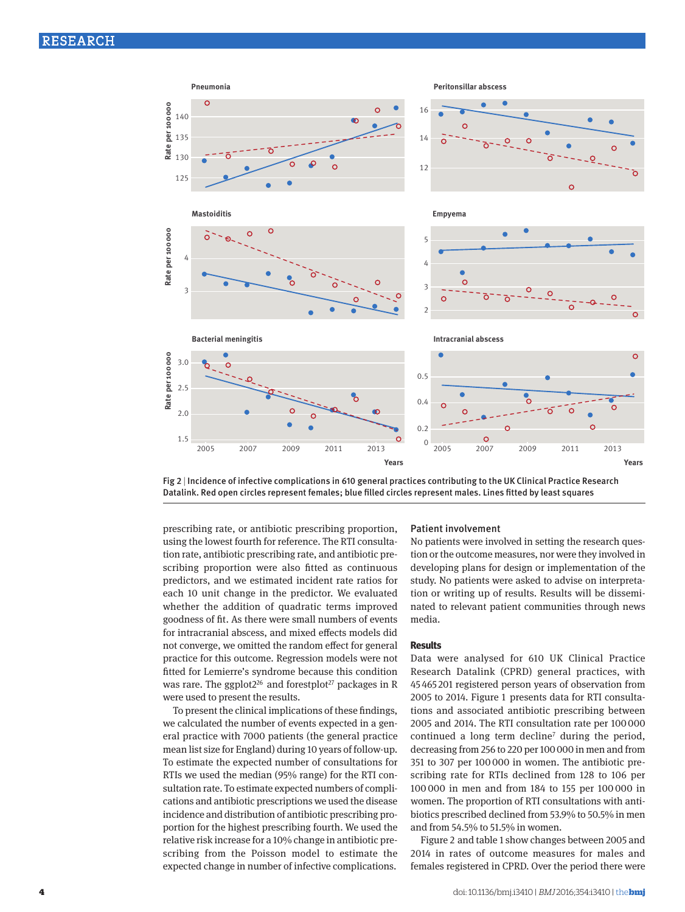

Fig 2 | Incidence of infective complications in 610 general practices contributing to the UK Clinical Practice Research Datalink. Red open circles represent females; blue filled circles represent males. Lines fitted by least squares

prescribing rate, or antibiotic prescribing proportion, using the lowest fourth for reference. The RTI consultation rate, antibiotic prescribing rate, and antibiotic prescribing proportion were also fitted as continuous predictors, and we estimated incident rate ratios for each 10 unit change in the predictor. We evaluated whether the addition of quadratic terms improved goodness of fit. As there were small numbers of events for intracranial abscess, and mixed effects models did not converge, we omitted the random effect for general practice for this outcome. Regression models were not fitted for Lemierre's syndrome because this condition was rare. The ggplot<sup>226</sup> and forestplot<sup>27</sup> packages in R were used to present the results.

To present the clinical implications of these findings, we calculated the number of events expected in a general practice with 7000 patients (the general practice mean list size for England) during 10 years of follow-up. To estimate the expected number of consultations for RTIs we used the median (95% range) for the RTI consultation rate. To estimate expected numbers of complications and antibiotic prescriptions we used the disease incidence and distribution of antibiotic prescribing proportion for the highest prescribing fourth. We used the relative risk increase for a 10% change in antibiotic prescribing from the Poisson model to estimate the expected change in number of infective complications.

## Patient involvement

No patients were involved in setting the research question or the outcome measures, nor were they involved in developing plans for design or implementation of the study. No patients were asked to advise on interpretation or writing up of results. Results will be disseminated to relevant patient communities through news media.

## **Results**

Data were analysed for 610 UK Clinical Practice Research Datalink (CPRD) general practices, with 45465 201 registered person years of observation from 2005 to 2014. Figure 1 presents data for RTI consultations and associated antibiotic prescribing between 2005 and 2014. The RTI consultation rate per 100000 continued a long term decline<sup> $7$ </sup> during the period, decreasing from 256 to 220 per 100000 in men and from 351 to 307 per 100000 in women. The antibiotic prescribing rate for RTIs declined from 128 to 106 per 100 000 in men and from 184 to 155 per 100 000 in women. The proportion of RTI consultations with antibiotics prescribed declined from 53.9% to 50.5% in men and from 54.5% to 51.5% in women.

Figure 2 and table 1 show changes between 2005 and 2014 in rates of outcome measures for males and females registered in CPRD. Over the period there were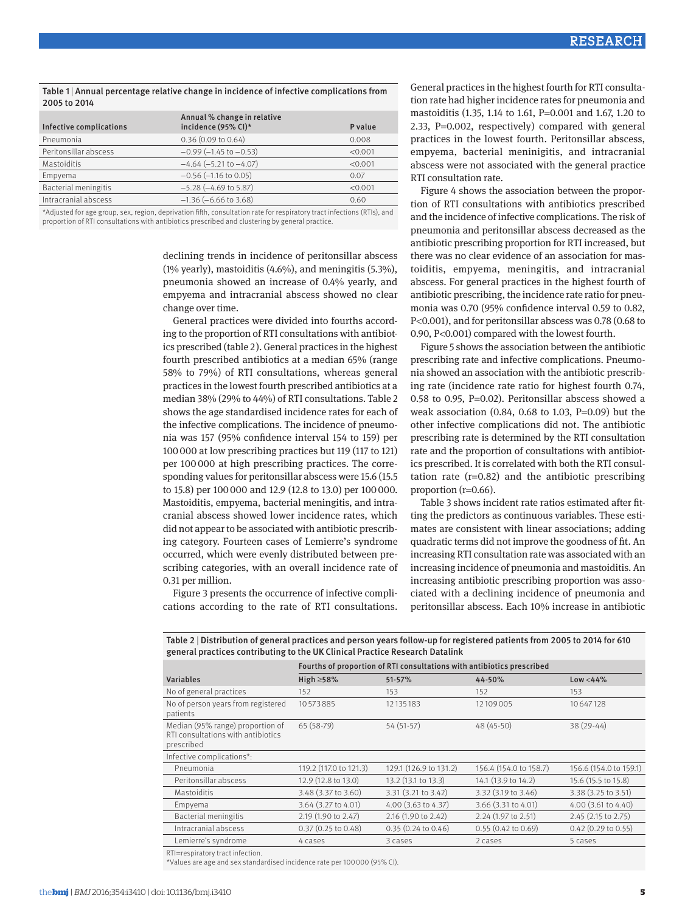#### Table 1 | Annual percentage relative change in incidence of infective complications from 2005 to 2014

| Infective complications     | Annual % change in relative<br>incidence (95% CI)* | P value |
|-----------------------------|----------------------------------------------------|---------|
| Pneumonia                   | 0.36(0.09 to 0.64)                                 | 0.008   |
| Peritonsillar abscess       | $-0.99$ (-1.45 to $-0.53$ )                        | < 0.001 |
| <b>Mastoiditis</b>          | $-4.64$ $(-5.21$ to $-4.07)$                       | < 0.001 |
| Empyema                     | $-0.56$ ( $-1.16$ to 0.05)                         | 0.07    |
| <b>Bacterial meningitis</b> | $-5.28$ ( $-4.69$ to 5.87)                         | < 0.001 |
| Intracranial abscess        | $-1.36$ ( $-6.66$ to 3.68)                         | 0.60    |
|                             |                                                    |         |

\*Adjusted for age group, sex, region, deprivation fifth, consultation rate for respiratory tract infections (RTIs), and proportion of RTI consultations with antibiotics prescribed and clustering by general practice.

> declining trends in incidence of peritonsillar abscess (1% yearly), mastoiditis (4.6%), and meningitis (5.3%), pneumonia showed an increase of 0.4% yearly, and empyema and intracranial abscess showed no clear change over time.

> General practices were divided into fourths according to the proportion of RTI consultations with antibiotics prescribed (table 2 ). General practices in the highest fourth prescribed antibiotics at a median 65% (range 58% to 79%) of RTI consultations, whereas general practices in the lowest fourth prescribed antibiotics at a median 38% (29% to 44%) of RTI consultations. Table 2 shows the age standardised incidence rates for each of the infective complications. The incidence of pneumonia was 157 (95% confidence interval 154 to 159) per 100000 at low prescribing practices but 119 (117 to 121) per 100000 at high prescribing practices. The corresponding values for peritonsillar abscess were 15.6 (15.5 to 15.8) per 100000 and 12.9 (12.8 to 13.0) per 100000. Mastoiditis, empyema, bacterial meningitis, and intracranial abscess showed lower incidence rates, which did not appear to be associated with antibiotic prescribing category. Fourteen cases of Lemierre's syndrome occurred, which were evenly distributed between prescribing categories, with an overall incidence rate of 0.31 per million.

Figure 3 presents the occurrence of infective complications according to the rate of RTI consultations. General practices in the highest fourth for RTI consultation rate had higher incidence rates for pneumonia and mastoiditis (1.35, 1.14 to 1.61, P=0.001 and 1.67, 1.20 to 2.33, P=0.002, respectively) compared with general practices in the lowest fourth. Peritonsillar abscess, empyema, bacterial meninigitis, and intracranial abscess were not associated with the general practice RTI consultation rate.

Figure 4 shows the association between the proportion of RTI consultations with antibiotics prescribed and the incidence of infective complications. The risk of pneumonia and peritonsillar abscess decreased as the antibiotic prescribing proportion for RTI increased, but there was no clear evidence of an association for mastoiditis, empyema, meningitis, and intracranial abscess. For general practices in the highest fourth of antibiotic prescribing, the incidence rate ratio for pneumonia was 0.70 (95% confidence interval 0.59 to 0.82, P<0.001), and for peritonsillar abscess was 0.78 (0.68 to 0.90, P<0.001) compared with the lowest fourth.

Figure 5 shows the association between the antibiotic prescribing rate and infective complications. Pneumonia showed an association with the antibiotic prescribing rate (incidence rate ratio for highest fourth 0.74, 0.58 to 0.95, P=0.02). Peritonsillar abscess showed a weak association (0.84, 0.68 to 1.03, P=0.09) but the other infective complications did not. The antibiotic prescribing rate is determined by the RTI consultation rate and the proportion of consultations with antibiotics prescribed. It is correlated with both the RTI consultation rate  $(r=0.82)$  and the antibiotic prescribing proportion (r=0.66).

Table 3 shows incident rate ratios estimated after fitting the predictors as continuous variables. These estimates are consistent with linear associations; adding quadratic terms did not improve the goodness of fit. An increasing RTI consultation rate was associated with an increasing incidence of pneumonia and mastoiditis. An increasing antibiotic prescribing proportion was associated with a declining incidence of pneumonia and peritonsillar abscess. Each 10% increase in antibiotic

Table 2 | Distribution of general practices and person years follow-up for registered patients from 2005 to 2014 for 610 general practices contributing to the UK Clinical Practice Research Datalink

|                                                                                      | Fourths of proportion of RTI consultations with antibiotics prescribed |                        |                        |                        |  |
|--------------------------------------------------------------------------------------|------------------------------------------------------------------------|------------------------|------------------------|------------------------|--|
| <b>Variables</b>                                                                     | High $\geq$ 58%                                                        | 51-57%                 | 44-50%                 | Low < 44%              |  |
| No of general practices                                                              | 152                                                                    | 153                    | 152                    | 153                    |  |
| No of person years from registered<br>patients                                       | 10573885                                                               | 12135183               | 12109005               | 10647128               |  |
| Median (95% range) proportion of<br>RTI consultations with antibiotics<br>prescribed | 65 (58-79)                                                             | 54 (51-57)             | 48 (45-50)             | $38(29-44)$            |  |
| Infective complications*:                                                            |                                                                        |                        |                        |                        |  |
| Pneumonia                                                                            | 119.2 (117.0 to 121.3)                                                 | 129.1 (126.9 to 131.2) | 156.4 (154.0 to 158.7) | 156.6 (154.0 to 159.1) |  |
| Peritonsillar abscess                                                                | 12.9 (12.8 to 13.0)                                                    | 13.2 (13.1 to 13.3)    | 14.1 (13.9 to 14.2)    | 15.6 (15.5 to 15.8)    |  |
| Mastoiditis                                                                          | 3.48 (3.37 to 3.60)                                                    | 3.31 (3.21 to 3.42)    | 3.32 (3.19 to 3.46)    | 3.38 (3.25 to 3.51)    |  |
| Empyema                                                                              | 3.64 (3.27 to 4.01)                                                    | 4.00 (3.63 to 4.37)    | 3.66 (3.31 to 4.01)    | 4.00 (3.61 to 4.40)    |  |
| <b>Bacterial meningitis</b>                                                          | 2.19 (1.90 to 2.47)                                                    | 2.16 (1.90 to 2.42)    | 2.24 (1.97 to 2.51)    | 2.45 (2.15 to 2.75)    |  |
| Intracranial abscess                                                                 | $0.37(0.25 \text{ to } 0.48)$                                          | 0.35(0.24 to 0.46)     | 0.55 (0.42 to 0.69)    | $0.42$ (0.29 to 0.55)  |  |
| Lemierre's syndrome                                                                  | 4 cases                                                                | 3 cases                | 2 cases                | 5 cases                |  |
| RTI=respiratory tract infection                                                      |                                                                        |                        |                        |                        |  |

RTI=respiratory tract infection.

\*Values are age and sex standardised incidence rate per 100000 (95% CI).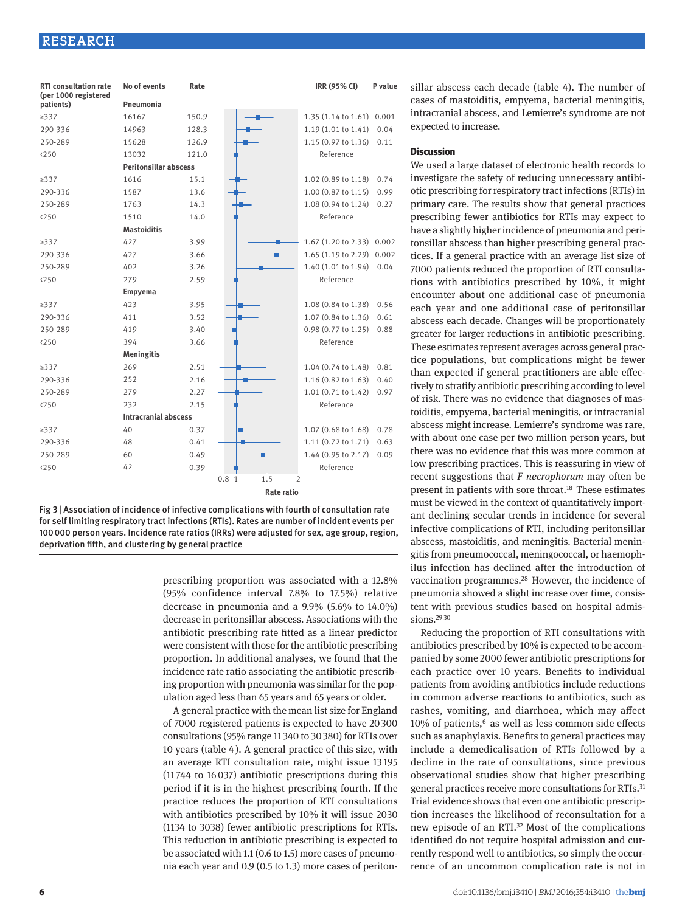## RESEARCH



Fig 3 | Association of incidence of infective complications with fourth of consultation rate for self limiting respiratory tract infections (RTIs). Rates are number of incident events per 100000 person years. Incidence rate ratios (IRRs) were adjusted for sex, age group, region, deprivation fifth, and clustering by general practice

> prescribing proportion was associated with a 12.8% (95% confidence interval 7.8% to 17.5%) relative decrease in pneumonia and a 9.9% (5.6% to 14.0%) decrease in peritonsillar abscess. Associations with the antibiotic prescribing rate fitted as a linear predictor were consistent with those for the antibiotic prescribing proportion. In additional analyses, we found that the incidence rate ratio associating the antibiotic prescribing proportion with pneumonia was similar for the population aged less than 65 years and 65 years or older.

> A general practice with the mean list size for England of 7000 registered patients is expected to have 20300 consultations (95% range 11 340 to 30380) for RTIs over 10 years (table 4). A general practice of this size, with an average RTI consultation rate, might issue 13 195 (11 744 to 16 037) antibiotic prescriptions during this period if it is in the highest prescribing fourth. If the practice reduces the proportion of RTI consultations with antibiotics prescribed by 10% it will issue 2030 (1134 to 3038) fewer antibiotic prescriptions for RTIs. This reduction in antibiotic prescribing is expected to be associated with 1.1 (0.6 to 1.5) more cases of pneumonia each year and 0.9 (0.5 to 1.3) more cases of periton

sillar abscess each decade (table 4). The number of cases of mastoiditis, empyema, bacterial meningitis, intracranial abscess, and Lemierre's syndrome are not expected to increase.

#### **Discussion**

We used a large dataset of electronic health records to investigate the safety of reducing unnecessary antibiotic prescribing for respiratory tract infections (RTIs) in primary care. The results show that general practices prescribing fewer antibiotics for RTIs may expect to have a slightly higher incidence of pneumonia and peritonsillar abscess than higher prescribing general practices. If a general practice with an average list size of 7000 patients reduced the proportion of RTI consultations with antibiotics prescribed by 10%, it might encounter about one additional case of pneumonia each year and one additional case of peritonsillar abscess each decade. Changes will be proportionately greater for larger reductions in antibiotic prescribing. These estimates represent averages across general practice populations, but complications might be fewer than expected if general practitioners are able effectively to stratify antibiotic prescribing according to level of risk. There was no evidence that diagnoses of mastoiditis, empyema, bacterial meningitis, or intracranial abscess might increase. Lemierre's syndrome was rare, with about one case per two million person years, but there was no evidence that this was more common at low prescribing practices. This is reassuring in view of recent suggestions that *F necrophorum* may often be present in patients with sore throat.18 These estimates must be viewed in the context of quantitatively important declining secular trends in incidence for several infective complications of RTI, including peritonsillar abscess, mastoiditis, and meningitis. Bacterial meningitis from pneumococcal, meningococcal, or haemophilus infection has declined after the introduction of vaccination programmes.28 However, the incidence of pneumonia showed a slight increase over time, consistent with previous studies based on hospital admissions.<sup>29</sup> 30

Reducing the proportion of RTI consultations with antibiotics prescribed by 10% is expected to be accompanied by some 2000 fewer antibiotic prescriptions for each practice over 10 years. Benefits to individual patients from avoiding antibiotics include reductions in common adverse reactions to antibiotics, such as rashes, vomiting, and diarrhoea, which may affect  $10\%$  of patients,<sup>6</sup> as well as less common side effects such as anaphylaxis. Benefits to general practices may include a demedicalisation of RTIs followed by a decline in the rate of consultations, since previous observational studies show that higher prescribing general practices receive more consultations for RTIs.<sup>31</sup> Trial evidence shows that even one antibiotic prescription increases the likelihood of reconsultation for a new episode of an RTI.32 Most of the complications identified do not require hospital admission and currently respond well to antibiotics, so simply the occurrence of an uncommon complication rate is not in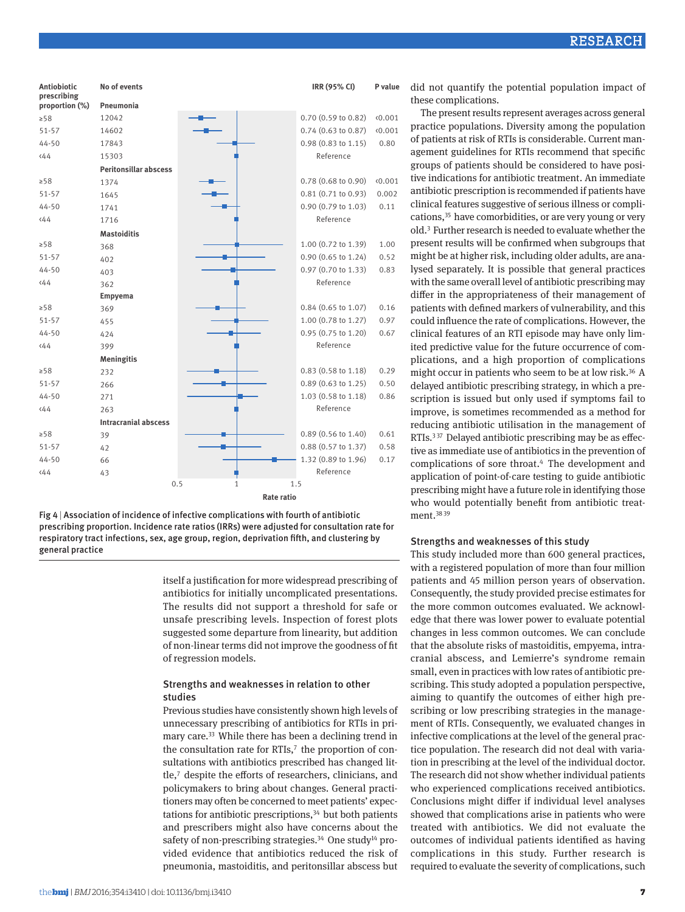| <b>Antiobiotic</b><br>prescribing | No of events                 |                   | <b>IRR (95% CI)</b>       | P value |
|-----------------------------------|------------------------------|-------------------|---------------------------|---------|
| proportion (%)                    | Pneumonia                    |                   |                           |         |
| >58                               | 12042                        |                   | 0.70 (0.59 to 0.82)       | (0.001) |
| $51 - 57$                         | 14602                        |                   | $0.74$ (0.63 to 0.87)     | (0.001) |
| $44 - 50$                         | 17843                        |                   | 0.98 (0.83 to 1.15)       | 0.80    |
| (44)                              | 15303                        |                   | Reference                 |         |
|                                   | <b>Peritonsillar abscess</b> |                   |                           |         |
| >58                               | 1374                         |                   | 0.78 (0.68 to 0.90)       | (0.001) |
| $51 - 57$                         | 1645                         |                   | $0.81$ $(0.71$ to $0.93)$ | 0.002   |
| 44-50                             | 1741                         |                   | 0.90 (0.79 to 1.03)       | 0.11    |
| (44)                              | 1716                         |                   | Reference                 |         |
|                                   | <b>Mastoiditis</b>           |                   |                           |         |
| $\geq$ 58                         | 368                          |                   | 1.00 (0.72 to 1.39)       | 1.00    |
| $51 - 57$                         | 402                          |                   | 0.90 (0.65 to 1.24)       | 0.52    |
| $44 - 50$                         | 403                          |                   | 0.97 (0.70 to 1.33)       | 0.83    |
| (44)                              | 362                          |                   | Reference                 |         |
|                                   | Empyema                      |                   |                           |         |
| $\geq$ 58                         | 369                          |                   | $0.84$ (0.65 to 1.07)     | 0.16    |
| $51 - 57$                         | 455                          |                   | 1.00 (0.78 to 1.27)       | 0.97    |
| $44 - 50$                         | 424                          |                   | 0.95 (0.75 to 1.20)       | 0.67    |
| (44)                              | 399                          |                   | Reference                 |         |
|                                   | <b>Meningitis</b>            |                   |                           |         |
| $\geq$ 58                         | 232                          |                   | $0.83$ $(0.58$ to $1.18)$ | 0.29    |
| $51 - 57$                         | 266                          |                   | 0.89 (0.63 to 1.25)       | 0.50    |
| 44-50                             | 271                          |                   | 1.03 (0.58 to 1.18)       | 0.86    |
| (44)                              | 263                          |                   | Reference                 |         |
|                                   | <b>Intracranial abscess</b>  |                   |                           |         |
| >58                               | 39                           |                   | $0.89$ (0.56 to 1.40)     | 0.61    |
| $51 - 57$                         | 42                           |                   | 0.88 (0.57 to 1.37)       | 0.58    |
| 44-50                             | 66                           |                   | 1.32 (0.89 to 1.96)       | 0.17    |
| (44)                              | 43                           |                   | Reference                 |         |
|                                   | 0.5                          | 1.5<br>1          |                           |         |
|                                   |                              | <b>Rate ratio</b> |                           |         |

Fig 4 | Association of incidence of infective complications with fourth of antibiotic prescribing proportion. Incidence rate ratios (IRRs) were adjusted for consultation rate for respiratory tract infections, sex, age group, region, deprivation fifth, and clustering by general practice

> itself a justification for more widespread prescribing of antibiotics for initially uncomplicated presentations. The results did not support a threshold for safe or unsafe prescribing levels. Inspection of forest plots suggested some departure from linearity, but addition of non-linear terms did not improve the goodness of fit of regression models.

## Strengths and weaknesses in relation to other studies

Previous studies have consistently shown high levels of unnecessary prescribing of antibiotics for RTIs in primary care.33 While there has been a declining trend in the consultation rate for  $RTIs$ ,<sup>7</sup> the proportion of consultations with antibiotics prescribed has changed little,<sup>7</sup> despite the efforts of researchers, clinicians, and policymakers to bring about changes. General practitioners may often be concerned to meet patients' expectations for antibiotic prescriptions,<sup>34</sup> but both patients and prescribers might also have concerns about the safety of non-prescribing strategies.<sup>34</sup> One study<sup>14</sup> provided evidence that antibiotics reduced the risk of pneumonia, mastoiditis, and peritonsillar abscess but did not quantify the potential population impact of

these complications.

RESEARCH

The present results represent averages across general practice populations. Diversity among the population of patients at risk of RTIs is considerable. Current management guidelines for RTIs recommend that specific groups of patients should be considered to have positive indications for antibiotic treatment. An immediate antibiotic prescription is recommended if patients have clinical features suggestive of serious illness or complications,<sup>35</sup> have comorbidities, or are very young or very old.3 Further research is needed to evaluate whether the present results will be confirmed when subgroups that might be at higher risk, including older adults, are analysed separately. It is possible that general practices with the same overall level of antibiotic prescribing may differ in the appropriateness of their management of patients with defined markers of vulnerability, and this could influence the rate of complications. However, the clinical features of an RTI episode may have only limited predictive value for the future occurrence of complications, and a high proportion of complications might occur in patients who seem to be at low risk.<sup>36</sup> A delayed antibiotic prescribing strategy, in which a prescription is issued but only used if symptoms fail to improve, is sometimes recommended as a method for reducing antibiotic utilisation in the management of RTIs.<sup>337</sup> Delayed antibiotic prescribing may be as effective as immediate use of antibiotics in the prevention of complications of sore throat.4 The development and application of point-of-care testing to guide antibiotic prescribing might have a future role in identifying those who would potentially benefit from antibiotic treatment.38 <sup>39</sup>

## Strengths and weaknesses of this study

This study included more than 600 general practices, with a registered population of more than four million patients and 45 million person years of observation. Consequently, the study provided precise estimates for the more common outcomes evaluated. We acknowledge that there was lower power to evaluate potential changes in less common outcomes. We can conclude that the absolute risks of mastoiditis, empyema, intracranial abscess, and Lemierre's syndrome remain small, even in practices with low rates of antibiotic prescribing. This study adopted a population perspective, aiming to quantify the outcomes of either high prescribing or low prescribing strategies in the management of RTIs. Consequently, we evaluated changes in infective complications at the level of the general practice population. The research did not deal with variation in prescribing at the level of the individual doctor. The research did not show whether individual patients who experienced complications received antibiotics. Conclusions might differ if individual level analyses showed that complications arise in patients who were treated with antibiotics. We did not evaluate the outcomes of individual patients identified as having complications in this study. Further research is required to evaluate the severity of complications, such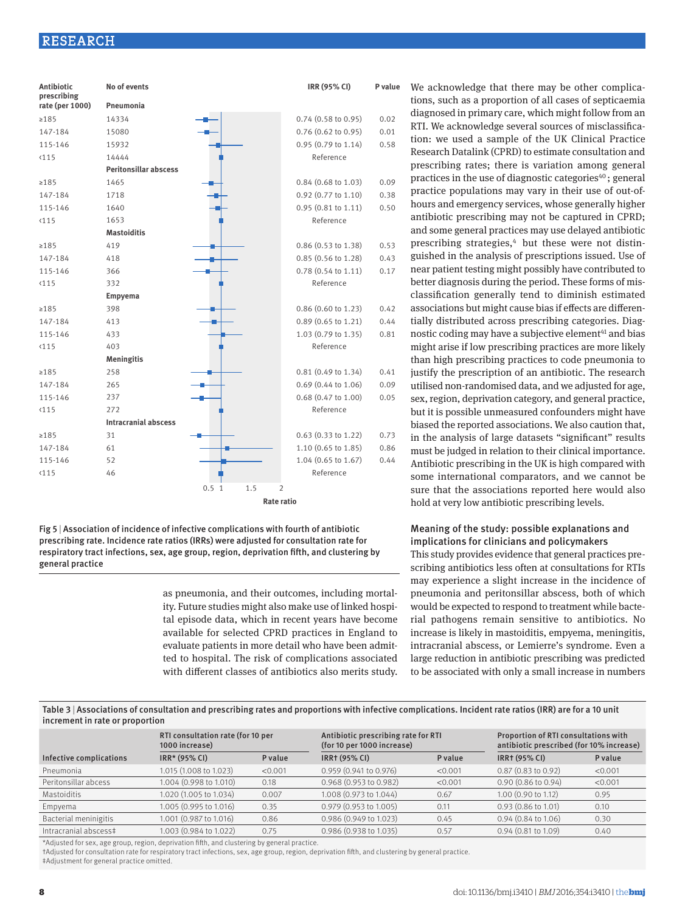## RESEARCH

| <b>Antibiotic</b><br>prescribing | No of events                 |             | IRR (95% CI)              | P value |
|----------------------------------|------------------------------|-------------|---------------------------|---------|
| rate (per 1000)                  | Pneumonia                    |             |                           |         |
| >185                             | 14334                        |             | $0.74$ $(0.58$ to $0.95)$ | 0.02    |
| 147-184                          | 15080                        |             | 0.76 (0.62 to 0.95)       | 0.01    |
| 115-146                          | 15932                        |             | 0.95 (0.79 to 1.14)       | 0.58    |
| $115$                            | 14444                        |             | Reference                 |         |
|                                  | <b>Peritonsillar abscess</b> |             |                           |         |
| >185                             | 1465                         |             | $0.84$ (0.68 to 1.03)     | 0.09    |
| 147-184                          | 1718                         |             | 0.92 (0.77 to 1.10)       | 0.38    |
| 115-146                          | 1640                         |             | 0.95 (0.81 to 1.11)       | 0.50    |
| $115$                            | 1653                         |             | Reference                 |         |
|                                  | <b>Mastoiditis</b>           |             |                           |         |
| >185                             | 419                          |             | 0.86 (0.53 to 1.38)       | 0.53    |
| 147-184                          | 418                          |             | 0.85 (0.56 to 1.28)       | 0.43    |
| 115-146                          | 366                          |             | 0.78 (0.54 to 1.11)       | 0.17    |
| $115$                            | 332                          |             | Reference                 |         |
|                                  | Empyema                      |             |                           |         |
| >185                             | 398                          |             | 0.86 (0.60 to 1.23)       | 0.42    |
| 147-184                          | 413                          |             | 0.89 (0.65 to 1.21)       | 0.44    |
| 115-146                          | 433                          |             | 1.03 (0.79 to 1.35)       | 0.81    |
| $115$                            | 403                          |             | Reference                 |         |
|                                  | <b>Meningitis</b>            |             |                           |         |
| >185                             | 258                          |             | 0.81 (0.49 to 1.34)       | 0.41    |
| 147-184                          | 265                          |             | 0.69 (0.44 to 1.06)       | 0.09    |
| 115-146                          | 237                          |             | 0.68 (0.47 to 1.00)       | 0.05    |
| $115$                            | 272                          |             | Reference                 |         |
|                                  | <b>Intracranial abscess</b>  |             |                           |         |
| >185                             | 31                           |             | $0.63$ $(0.33$ to $1.22)$ | 0.73    |
| 147-184                          | 61                           |             | 1.10 (0.65 to 1.85)       | 0.86    |
| 115-146                          | 52                           |             | 1.04 (0.65 to 1.67)       | 0.44    |
| $115$                            | 46                           |             | Reference                 |         |
|                                  |                              | 1.5<br>0.51 | $\overline{2}$            |         |
|                                  |                              |             | <b>Rate ratio</b>         |         |

Fig 5 | Association of incidence of infective complications with fourth of antibiotic prescribing rate. Incidence rate ratios (IRRs) were adjusted for consultation rate for respiratory tract infections, sex, age group, region, deprivation fifth, and clustering by general practice

> as pneumonia, and their outcomes, including mortality. Future studies might also make use of linked hospital episode data, which in recent years have become available for selected CPRD practices in England to evaluate patients in more detail who have been admitted to hospital. The risk of complications associated with different classes of antibiotics also merits study.

We acknowledge that there may be other complications, such as a proportion of all cases of septicaemia diagnosed in primary care, which might follow from an RTI. We acknowledge several sources of misclassification: we used a sample of the UK Clinical Practice Research Datalink (CPRD) to estimate consultation and prescribing rates; there is variation among general practices in the use of diagnostic categories<sup>40</sup>; general practice populations may vary in their use of out-ofhours and emergency services, whose generally higher antibiotic prescribing may not be captured in CPRD; and some general practices may use delayed antibiotic prescribing strategies, $4$  but these were not distinguished in the analysis of prescriptions issued. Use of near patient testing might possibly have contributed to better diagnosis during the period. These forms of misclassification generally tend to diminish estimated associations but might cause bias if effects are differentially distributed across prescribing categories. Diagnostic coding may have a subjective element<sup>41</sup> and bias might arise if low prescribing practices are more likely than high prescribing practices to code pneumonia to justify the prescription of an antibiotic. The research utilised non-randomised data, and we adjusted for age, sex, region, deprivation category, and general practice, but it is possible unmeasured confounders might have biased the reported associations. We also caution that, in the analysis of large datasets "significant" results must be judged in relation to their clinical importance. Antibiotic prescribing in the UK is high compared with some international comparators, and we cannot be sure that the associations reported here would also hold at very low antibiotic prescribing levels.

## Meaning of the study: possible explanations and implications for clinicians and policymakers

This study provides evidence that general practices prescribing antibiotics less often at consultations for RTIs may experience a slight increase in the incidence of pneumonia and peritonsillar abscess, both of which would be expected to respond to treatment while bacterial pathogens remain sensitive to antibiotics. No increase is likely in mastoiditis, empyema, meningitis, intracranial abscess, or Lemierre's syndrome. Even a large reduction in antibiotic prescribing was predicted to be associated with only a small increase in numbers

Table 3 | Associations of consultation and prescribing rates and proportions with infective complications. Incident rate ratios (IRR) are for a 10 unit increment in rate or proportion

|                         | RTI consultation rate (for 10 per<br>1000 increase) |         | Antibiotic prescribing rate for RTI<br>(for 10 per 1000 increase) |         | Proportion of RTI consultations with<br>antibiotic prescribed (for 10% increase) |                |
|-------------------------|-----------------------------------------------------|---------|-------------------------------------------------------------------|---------|----------------------------------------------------------------------------------|----------------|
| Infective complications | IRR* (95% CI)                                       | P value | IRR† (95% CI)                                                     | P value | <b>IRR1 (95% CI)</b>                                                             | <b>P</b> value |
| Pneumonia               | 1.015 (1.008 to 1.023)                              | < 0.001 | $0.959(0.941 \text{ to } 0.976)$                                  | < 0.001 | $0.87(0.83 \text{ to } 0.92)$                                                    | < 0.001        |
| Peritonsillar abcess    | 1.004 (0.998 to 1.010)                              | 0.18    | 0.968 (0.953 to 0.982)                                            | < 0.001 | $0.90(0.86 \text{ to } 0.94)$                                                    | < 0.001        |
| Mastoiditis             | 1.020 (1.005 to 1.034)                              | 0.007   | 1.008 (0.973 to 1.044)                                            | 0.67    | 1.00 (0.90 to 1.12)                                                              | 0.95           |
| Empyema                 | 1.005 (0.995 to 1.016)                              | 0.35    | 0.979 (0.953 to 1.005)                                            | 0.11    | $0.93$ (0.86 to 1.01)                                                            | 0.10           |
| Bacterial meninigitis   | 1.001 (0.987 to 1.016)                              | 0.86    | 0.986 (0.949 to 1.023)                                            | 0.45    | $0.94$ (0.84 to 1.06)                                                            | 0.30           |
| Intracranial abscess‡   | 1.003 (0.984 to 1.022)                              | 0.75    | 0.986 (0.938 to 1.035)                                            | 0.57    | 0.94 (0.81 to 1.09)                                                              | 0.40           |

\*Adjusted for sex, age group, region, deprivation fifth, and clustering by general practice.

†Adjusted for consultation rate for respiratory tract infections, sex, age group, region, deprivation fifth, and clustering by general practice. ‡Adjustment for general practice omitted.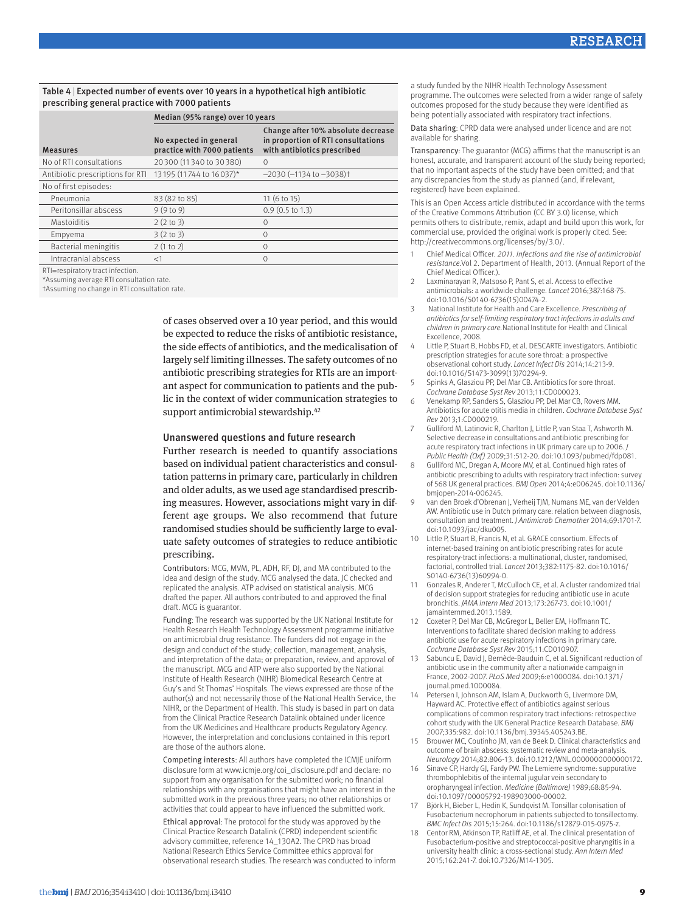#### Table 4 | Expected number of events over 10 years in a hypothetical high antibiotic prescribing general practice with 7000 patients

|                                  | Median (95% range) over 10 years                      |                                                                                                         |  |  |
|----------------------------------|-------------------------------------------------------|---------------------------------------------------------------------------------------------------------|--|--|
| <b>Measures</b>                  | No expected in general<br>practice with 7000 patients | Change after 10% absolute decrease<br>in proportion of RTI consultations<br>with antibiotics prescribed |  |  |
| No of RTI consultations          | 20300 (11340 to 30380)                                | $\Omega$                                                                                                |  |  |
| Antibiotic prescriptions for RTI | 13195 (11744 to 16037)*                               | $-2030$ ( $-1134$ to $-3038$ ) <sup>+</sup>                                                             |  |  |
| No of first episodes:            |                                                       |                                                                                                         |  |  |
| Pneumonia                        | 83 (82 to 85)                                         | 11 (6 to 15)                                                                                            |  |  |
| Peritonsillar abscess            | 9(9 to 9)                                             | $0.9$ (0.5 to 1.3)                                                                                      |  |  |
| Mastoiditis                      | 2(2 to 3)                                             | $\Omega$                                                                                                |  |  |
| Empyema                          | 3(2 to 3)                                             | $\Omega$                                                                                                |  |  |
| <b>Bacterial meningitis</b>      | 2(1 to 2)                                             | $\Omega$                                                                                                |  |  |
| Intracranial abscess             | $<$ 1                                                 | $\Omega$                                                                                                |  |  |
|                                  |                                                       |                                                                                                         |  |  |

RTI=respiratory tract infection.

\*Assuming average RTI consultation rate.

†Assuming no change in RTI consultation rate.

of cases observed over a 10 year period, and this would be expected to reduce the risks of antibiotic resistance, the side effects of antibiotics, and the medicalisation of largely self limiting illnesses. The safety outcomes of no antibiotic prescribing strategies for RTIs are an important aspect for communication to patients and the public in the context of wider communication strategies to support antimicrobial stewardship.42

#### Unanswered questions and future research

Further research is needed to quantify associations based on individual patient characteristics and consultation patterns in primary care, particularly in children and older adults, as we used age standardised prescribing measures. However, associations might vary in different age groups. We also recommend that future randomised studies should be sufficiently large to evaluate safety outcomes of strategies to reduce antibiotic prescribing.

Contributors: MCG, MVM, PL, ADH, RF, DJ, and MA contributed to the idea and design of the study. MCG analysed the data. JC checked and replicated the analysis. ATP advised on statistical analysis. MCG drafted the paper. All authors contributed to and approved the final draft. MCG is guarantor.

Funding: The research was supported by the UK National Institute for Health Research Health Technology Assessment programme initiative on antimicrobial drug resistance. The funders did not engage in the design and conduct of the study; collection, management, analysis, and interpretation of the data; or preparation, review, and approval of the manuscript. MCG and ATP were also supported by the National Institute of Health Research (NIHR) Biomedical Research Centre at Guy's and St Thomas' Hospitals. The views expressed are those of the author(s) and not necessarily those of the National Health Service, the NIHR, or the Department of Health. This study is based in part on data from the Clinical Practice Research Datalink obtained under licence from the UK Medicines and Healthcare products Regulatory Agency. However, the interpretation and conclusions contained in this report are those of the authors alone.

Competing interests: All authors have completed the ICMJE uniform disclosure form at www.icmje.org/coi\_disclosure.pdf and declare: no support from any organisation for the submitted work; no financial relationships with any organisations that might have an interest in the submitted work in the previous three years; no other relationships or activities that could appear to have influenced the submitted work.

Ethical approval: The protocol for the study was approved by the Clinical Practice Research Datalink (CPRD) independent scientific advisory committee, reference 14\_130A2. The CPRD has broad National Research Ethics Service Committee ethics approval for observational research studies. The research was conducted to inform a study funded by the NIHR Health Technology Assessment programme. The outcomes were selected from a wider range of safety outcomes proposed for the study because they were identified as being potentially associated with respiratory tract infections.

Data sharing: CPRD data were analysed under licence and are not available for sharing.

Transparency: The guarantor (MCG) affirms that the manuscript is an honest, accurate, and transparent account of the study being reported; that no important aspects of the study have been omitted; and that any discrepancies from the study as planned (and, if relevant, registered) have been explained.

This is an Open Access article distributed in accordance with the terms of the Creative Commons Attribution (CC BY 3.0) license, which permits others to distribute, remix, adapt and build upon this work, for commercial use, provided the original work is properly cited. See: http://creativecommons.org/licenses/by/3.0/.

- 1 Chief Medical Officer. *2011. Infections and the rise of antimicrobial resistance.*Vol 2. Department of Health, 2013. (Annual Report of the Chief Medical Officer.).
- 2 Laxminarayan R, Matsoso P, Pant S, et al. Access to effective antimicrobials: a worldwide challenge. *Lancet* 2016;387:168-75. doi:10.1016/S0140-6736(15)00474-2.
- 3 National Institute for Health and Care Excellence. *Prescribing of antibiotics for self-limiting respiratory tract infections in adults and children in primary care.*National Institute for Health and Clinical Excellence, 2008.
- Little P, Stuart B, Hobbs FD, et al. DESCARTE investigators. Antibiotic prescription strategies for acute sore throat: a prospective observational cohort study. *Lancet Infect Dis* 2014;14:213-9. doi:10.1016/S1473-3099(13)70294-9.
- 5 Spinks A, Glasziou PP, Del Mar CB. Antibiotics for sore throat. *Cochrane Database Syst Rev* 2013;11:CD000023.
- 6 Venekamp RP, Sanders S, Glasziou PP, Del Mar CB, Rovers MM. Antibiotics for acute otitis media in children. *Cochrane Database Syst Rev* 2013;1:CD000219.
- 7 Gulliford M, Latinovic R, Charlton J, Little P, van Staa T, Ashworth M. Selective decrease in consultations and antibiotic prescribing for acute respiratory tract infections in UK primary care up to 2006. *J Public Health (Oxf)* 2009;31:512-20. doi:10.1093/pubmed/fdp081.
- 8 Gulliford MC, Dregan A, Moore MV, et al. Continued high rates of antibiotic prescribing to adults with respiratory tract infection: survey of 568 UK general practices. *BMJ Open* 2014;4:e006245. doi:10.1136/ bmjopen-2014-006245.
- 9 van den Broek d'Obrenan J, Verheij TJM, Numans ME, van der Velden AW. Antibiotic use in Dutch primary care: relation between diagnosis, consultation and treatment. *J Antimicrob Chemother* 2014;69:1701-7. doi:10.1093/jac/dku005.
- 10 Little P, Stuart B, Francis N, et al. GRACE consortium. Effects of internet-based training on antibiotic prescribing rates for acute respiratory-tract infections: a multinational, cluster, randomised, factorial, controlled trial. *Lancet* 2013;382:1175-82. doi:10.1016/ S0140-6736(13)60994-0.
- 11 Gonzales R, Anderer T, McCulloch CE, et al. A cluster randomized trial of decision support strategies for reducing antibiotic use in acute bronchitis. *JAMA Intern Med* 2013;173:267-73. doi:10.1001/ jamainternmed.2013.1589.
- 12 Coxeter P, Del Mar CB, McGregor L, Beller EM, Hoffmann TC. Interventions to facilitate shared decision making to address antibiotic use for acute respiratory infections in primary care. *Cochrane Database Syst Rev* 2015;11:CD010907.
- 13 Sabuncu E, David J, Bernède-Bauduin C, et al. Significant reduction of antibiotic use in the community after a nationwide campaign in France, 2002-2007. *PLoS Med* 2009;6:e1000084. doi:10.1371/ journal.pmed.1000084.
- 14 Petersen I, Johnson AM, Islam A, Duckworth G, Livermore DM, Hayward AC. Protective effect of antibiotics against serious complications of common respiratory tract infections: retrospective cohort study with the UK General Practice Research Database. *BMJ* 2007;335:982. doi:10.1136/bmj.39345.405243.BE.
- 15 Brouwer MC, Coutinho JM, van de Beek D. Clinical characteristics and outcome of brain abscess: systematic review and meta-analysis. *Neurology* 2014;82:806-13. doi:10.1212/WNL.0000000000000172.
- 16 Sinave CP, Hardy GJ, Fardy PW. The Lemierre syndrome: suppurative thrombophlebitis of the internal jugular vein secondary to oropharyngeal infection. *Medicine (Baltimore)* 1989;68:85-94. doi:10.1097/00005792-198903000-00002.
- 17 Björk H, Bieber L, Hedin K, Sundqvist M. Tonsillar colonisation of Fusobacterium necrophorum in patients subjected to tonsillectomy. *BMC Infect Dis* 2015;15:264. doi:10.1186/s12879-015-0975-z.
- Centor RM, Atkinson TP, Ratliff AE, et al. The clinical presentation of Fusobacterium-positive and streptococcal-positive pharyngitis in a university health clinic: a cross-sectional study. *Ann Intern Med* 2015;162:241-7. doi:10.7326/M14-1305.